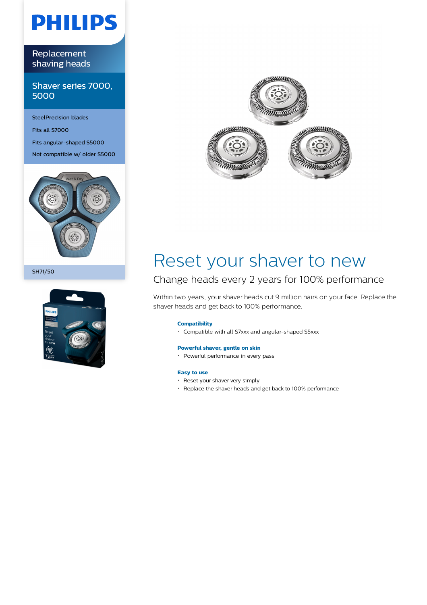# **PHILIPS**

Replacement shaving heads

Shaver series 7000, 5000

SteelPrecision blades Fits all S7000 Fits angular-shaped S5000 Not compatible w/ older S5000



SH71/50





## Reset your shaver to new

### Change heads every 2 years for 100% performance

Within two years, your shaver heads cut 9 million hairs on your face. Replace the shaver heads and get back to 100% performance.

### **Compatibility**

Compatible with all S7xxx and angular-shaped S5xxx

### **Powerful shaver, gentle on skin**

• Powerful performance in every pass

### **Easy to use**

- Reset your shaver very simply
- Replace the shaver heads and get back to 100% performance